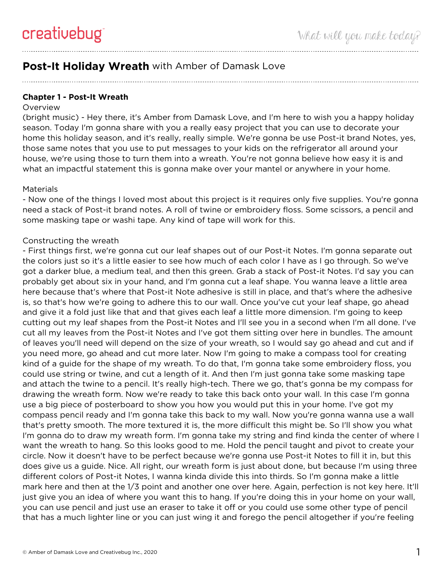## **Post-It Holiday Wreath** with Amber of Damask Love

**Chapter 1 - Post-It Wreath**

## **Overview**

(bright music) - Hey there, it's Amber from Damask Love, and I'm here to wish you a happy holiday season. Today I'm gonna share with you a really easy project that you can use to decorate your home this holiday season, and it's really, really simple. We're gonna be use Post-it brand Notes, yes, those same notes that you use to put messages to your kids on the refrigerator all around your house, we're using those to turn them into a wreath. You're not gonna believe how easy it is and what an impactful statement this is gonna make over your mantel or anywhere in your home.

## Materials

- Now one of the things I loved most about this project is it requires only five supplies. You're gonna need a stack of Post-it brand notes. A roll of twine or embroidery floss. Some scissors, a pencil and some masking tape or washi tape. Any kind of tape will work for this.

## Constructing the wreath

- First things first, we're gonna cut our leaf shapes out of our Post-it Notes. I'm gonna separate out the colors just so it's a little easier to see how much of each color I have as I go through. So we've got a darker blue, a medium teal, and then this green. Grab a stack of Post-it Notes. I'd say you can probably get about six in your hand, and I'm gonna cut a leaf shape. You wanna leave a little area here because that's where that Post-it Note adhesive is still in place, and that's where the adhesive is, so that's how we're going to adhere this to our wall. Once you've cut your leaf shape, go ahead and give it a fold just like that and that gives each leaf a little more dimension. I'm going to keep cutting out my leaf shapes from the Post-it Notes and I'll see you in a second when I'm all done. I've cut all my leaves from the Post-it Notes and I've got them sitting over here in bundles. The amount of leaves you'll need will depend on the size of your wreath, so I would say go ahead and cut and if you need more, go ahead and cut more later. Now I'm going to make a compass tool for creating kind of a guide for the shape of my wreath. To do that, I'm gonna take some embroidery floss, you could use string or twine, and cut a length of it. And then I'm just gonna take some masking tape and attach the twine to a pencil. It's really high-tech. There we go, that's gonna be my compass for drawing the wreath form. Now we're ready to take this back onto your wall. In this case I'm gonna use a big piece of posterboard to show you how you would put this in your home. I've got my compass pencil ready and I'm gonna take this back to my wall. Now you're gonna wanna use a wall that's pretty smooth. The more textured it is, the more difficult this might be. So I'll show you what I'm gonna do to draw my wreath form. I'm gonna take my string and find kinda the center of where I want the wreath to hang. So this looks good to me. Hold the pencil taught and pivot to create your circle. Now it doesn't have to be perfect because we're gonna use Post-it Notes to fill it in, but this does give us a guide. Nice. All right, our wreath form is just about done, but because I'm using three different colors of Post-it Notes, I wanna kinda divide this into thirds. So I'm gonna make a little mark here and then at the 1/3 point and another one over here. Again, perfection is not key here. It'll just give you an idea of where you want this to hang. If you're doing this in your home on your wall, you can use pencil and just use an eraser to take it off or you could use some other type of pencil that has a much lighter line or you can just wing it and forego the pencil altogether if you're feeling